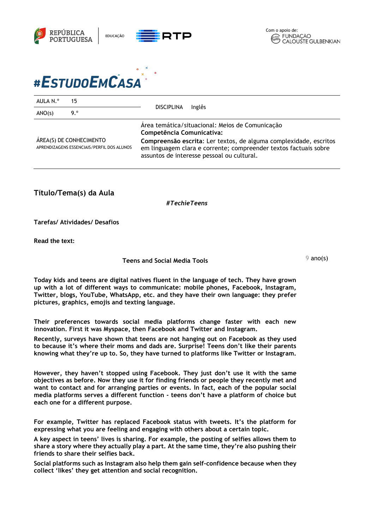





# #ESTUDOEMCASA

| AULA N.º                                                              | 15  | Inglês<br><b>DISCIPLINA</b>                                                                                                                                                         |
|-----------------------------------------------------------------------|-----|-------------------------------------------------------------------------------------------------------------------------------------------------------------------------------------|
| ANO(s)                                                                | 9.° |                                                                                                                                                                                     |
| ÁREA(S) DE CONHECIMENTO<br>APRENDIZAGENS ESSENCIAIS/PERFIL DOS ALUNOS |     | Área temática/situacional: Meios de Comunicação<br>Competência Comunicativa:                                                                                                        |
|                                                                       |     | Compreensão escrita: Ler textos, de alguma complexidade, escritos<br>em linguagem clara e corrente; compreender textos factuais sobre<br>assuntos de interesse pessoal ou cultural. |

**Título/Tema(s) da Aula**

*#TechieTeens*

**Tarefas/ Atividades/ Desafios**

**Read the text:** 

## **Teens and Social Media Tools**

 $9$  ano(s)

**Today kids and teens are digital natives fluent in the language of tech. They have grown up with a lot of different ways to communicate: mobile phones, Facebook, Instagram, Twitter, blogs, YouTube, WhatsApp, etc. and they have their own language: they prefer pictures, graphics, emojis and texting language.**

**Their preferences towards social media platforms change faster with each new innovation. First it was Myspace, then Facebook and Twitter and Instagram.** 

**Recently, surveys have shown that teens are not hanging out on Facebook as they used to because it's where their moms and dads are. Surprise! Teens don't like their parents knowing what they're up to. So, they have turned to platforms like Twitter or Instagram.** 

**However, they haven't stopped using Facebook. They just don't use it with the same objectives as before. Now they use it for finding friends or people they recently met and want to contact and for arranging parties or events. In fact, each of the popular social media platforms serves a different function - teens don't have a platform of choice but each one for a different purpose.**

**For example, Twitter has replaced Facebook status with tweets. It's the platform for expressing what you are feeling and engaging with others about a certain topic.**

**A key aspect in teens' lives is sharing. For example, the posting of selfies allows them to share a story where they actually play a part. At the same time, they're also pushing their friends to share their selfies back.**

**Social platforms such as Instagram also help them gain self-confidence because when they collect 'likes' they get attention and social recognition.**